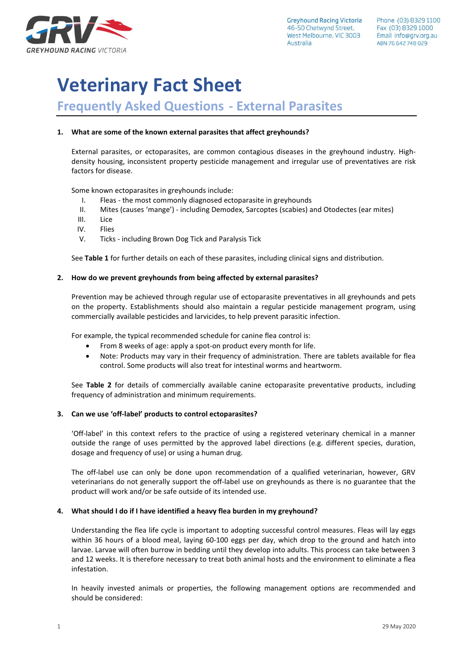

**Greyhound Racing Victoria** 46-50 Chetwynd Street. West Melbourne, VIC 3003 Australia

# **Veterinary Fact Sheet**

# **Frequently Asked Questions - External Parasites**

# **1. What are some of the known external parasites that affect greyhounds?**

External parasites, or ectoparasites, are common contagious diseases in the greyhound industry. Highdensity housing, inconsistent property pesticide management and irregular use of preventatives are risk factors for disease.

Some known ectoparasites in greyhounds include:

- I. Fleas the most commonly diagnosed ectoparasite in greyhounds
- II. Mites (causes 'mange') including Demodex, Sarcoptes (scabies) and Otodectes (ear mites)
- III. Lice
- IV. Flies
- V. Ticks including Brown Dog Tick and Paralysis Tick

See **Table 1** for further details on each of these parasites, including clinical signs and distribution.

## **2. How do we prevent greyhounds from being affected by external parasites?**

Prevention may be achieved through regular use of ectoparasite preventatives in all greyhounds and pets on the property. Establishments should also maintain a regular pesticide management program, using commercially available pesticides and larvicides, to help prevent parasitic infection.

For example, the typical recommended schedule for canine flea control is:

- From 8 weeks of age: apply a spot-on product every month for life.
- Note: Products may vary in their frequency of administration. There are tablets available for flea control. Some products will also treat for intestinal worms and heartworm.

See **Table 2** for details of commercially available canine ectoparasite preventative products, including frequency of administration and minimum requirements.

#### **3. Can we use 'off-label' products to control ectoparasites?**

'Off-label' in this context refers to the practice of using a registered veterinary chemical in a manner outside the range of uses permitted by the approved label directions (e.g. different species, duration, dosage and frequency of use) or using a human drug.

The off-label use can only be done upon recommendation of a qualified veterinarian, however, GRV veterinarians do not generally support the off-label use on greyhounds as there is no guarantee that the product will work and/or be safe outside of its intended use.

#### **4. What should I do if I have identified a heavy flea burden in my greyhound?**

Understanding the flea life cycle is important to adopting successful control measures. Fleas will lay eggs within 36 hours of a blood meal, laying 60-100 eggs per day, which drop to the ground and hatch into larvae. Larvae will often burrow in bedding until they develop into adults. This process can take between 3 and 12 weeks. It is therefore necessary to treat both animal hosts and the environment to eliminate a flea infestation.

In heavily invested animals or properties, the following management options are recommended and should be considered: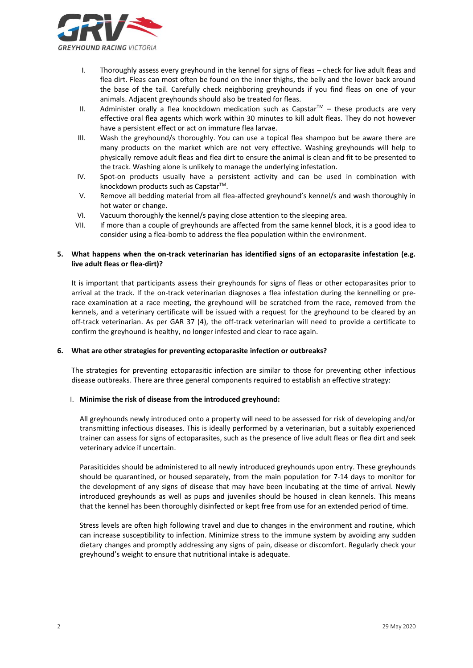

- I. Thoroughly assess every greyhound in the kennel for signs of fleas check for live adult fleas and flea dirt. Fleas can most often be found on the inner thighs, the belly and the lower back around the base of the tail. Carefully check neighboring greyhounds if you find fleas on one of your animals. Adjacent greyhounds should also be treated for fleas.
- II. Administer orally a flea knockdown medication such as Capstar™ these products are very effective oral flea agents which work within 30 minutes to kill adult fleas. They do not however have a persistent effect or act on immature flea larvae.
- III. Wash the greyhound/s thoroughly. You can use a topical flea shampoo but be aware there are many products on the market which are not very effective. Washing greyhounds will help to physically remove adult fleas and flea dirt to ensure the animal is clean and fit to be presented to the track. Washing alone is unlikely to manage the underlying infestation.
- IV. Spot-on products usually have a persistent activity and can be used in combination with knockdown products such as Capstar<sup>™</sup>.
- V. Remove all bedding material from all flea-affected greyhound's kennel/s and wash thoroughly in hot water or change.
- VI. Vacuum thoroughly the kennel/s paying close attention to the sleeping area.
- VII. If more than a couple of greyhounds are affected from the same kennel block, it is a good idea to consider using a flea-bomb to address the flea population within the environment.

# **5. What happens when the on-track veterinarian has identified signs of an ectoparasite infestation (e.g. live adult fleas or flea-dirt)?**

It is important that participants assess their greyhounds for signs of fleas or other ectoparasites prior to arrival at the track. If the on-track veterinarian diagnoses a flea infestation during the kennelling or prerace examination at a race meeting, the greyhound will be scratched from the race, removed from the kennels, and a veterinary certificate will be issued with a request for the greyhound to be cleared by an off-track veterinarian. As per GAR 37 (4), the off-track veterinarian will need to provide a certificate to confirm the greyhound is healthy, no longer infested and clear to race again.

# **6. What are other strategies for preventing ectoparasite infection or outbreaks?**

The strategies for preventing ectoparasitic infection are similar to those for preventing other infectious disease outbreaks. There are three general components required to establish an effective strategy:

#### I. **Minimise the risk of disease from the introduced greyhound:**

All greyhounds newly introduced onto a property will need to be assessed for risk of developing and/or transmitting infectious diseases. This is ideally performed by a veterinarian, but a suitably experienced trainer can assess for signs of ectoparasites, such as the presence of live adult fleas or flea dirt and seek veterinary advice if uncertain.

Parasiticides should be administered to all newly introduced greyhounds upon entry. These greyhounds should be quarantined, or housed separately, from the main population for 7-14 days to monitor for the development of any signs of disease that may have been incubating at the time of arrival. Newly introduced greyhounds as well as pups and juveniles should be housed in clean kennels. This means that the kennel has been thoroughly disinfected or kept free from use for an extended period of time.

Stress levels are often high following travel and due to changes in the environment and routine, which can increase susceptibility to infection. Minimize stress to the immune system by avoiding any sudden dietary changes and promptly addressing any signs of pain, disease or discomfort. Regularly check your greyhound's weight to ensure that nutritional intake is adequate.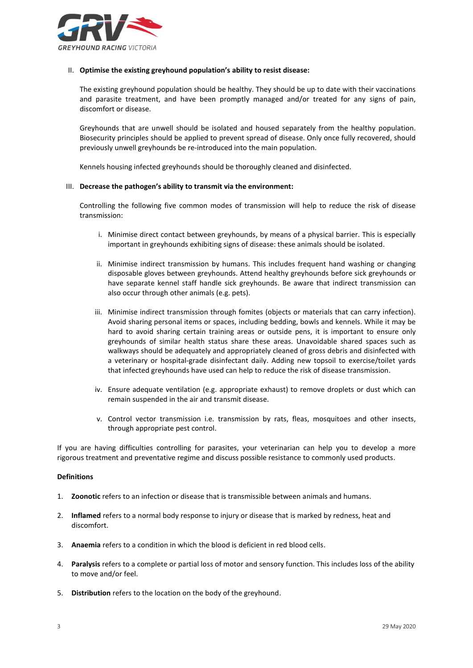

## II. **Optimise the existing greyhound population's ability to resist disease:**

The existing greyhound population should be healthy. They should be up to date with their vaccinations and parasite treatment, and have been promptly managed and/or treated for any signs of pain, discomfort or disease.

Greyhounds that are unwell should be isolated and housed separately from the healthy population. Biosecurity principles should be applied to prevent spread of disease. Only once fully recovered, should previously unwell greyhounds be re-introduced into the main population.

Kennels housing infected greyhounds should be thoroughly cleaned and disinfected.

## III. **Decrease the pathogen's ability to transmit via the environment:**

Controlling the following five common modes of transmission will help to reduce the risk of disease transmission:

- i. Minimise direct contact between greyhounds, by means of a physical barrier. This is especially important in greyhounds exhibiting signs of disease: these animals should be isolated.
- ii. Minimise indirect transmission by humans. This includes frequent hand washing or changing disposable gloves between greyhounds. Attend healthy greyhounds before sick greyhounds or have separate kennel staff handle sick greyhounds. Be aware that indirect transmission can also occur through other animals (e.g. pets).
- iii. Minimise indirect transmission through fomites (objects or materials that can carry infection). Avoid sharing personal items or spaces, including bedding, bowls and kennels. While it may be hard to avoid sharing certain training areas or outside pens, it is important to ensure only greyhounds of similar health status share these areas. Unavoidable shared spaces such as walkways should be adequately and appropriately cleaned of gross debris and disinfected with a veterinary or hospital-grade disinfectant daily. Adding new topsoil to exercise/toilet yards that infected greyhounds have used can help to reduce the risk of disease transmission.
- iv. Ensure adequate ventilation (e.g. appropriate exhaust) to remove droplets or dust which can remain suspended in the air and transmit disease.
- v. Control vector transmission i.e. transmission by rats, fleas, mosquitoes and other insects, through appropriate pest control.

If you are having difficulties controlling for parasites, your veterinarian can help you to develop a more rigorous treatment and preventative regime and discuss possible resistance to commonly used products.

#### **Definitions**

- 1. **Zoonotic** refers to an infection or disease that is transmissible between animals and humans.
- 2. **Inflamed** refers to a normal body response to injury or disease that is marked by redness, heat and discomfort.
- 3. **Anaemia** refers to a condition in which the blood is deficient in red blood cells.
- 4. **Paralysis** refers to a complete or partial loss of motor and sensory function. This includes loss of the ability to move and/or feel.
- 5. **Distribution** refers to the location on the body of the greyhound.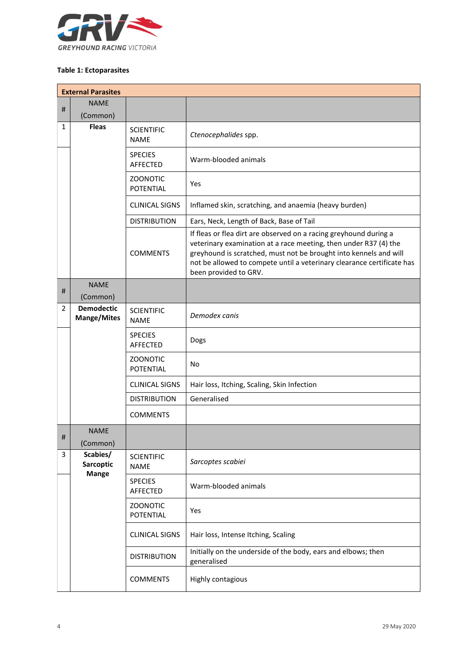

# **Table 1: Ectoparasites**

|                | <b>External Parasites</b>               |                                  |                                                                                                                                                                                                                                                                                                               |  |
|----------------|-----------------------------------------|----------------------------------|---------------------------------------------------------------------------------------------------------------------------------------------------------------------------------------------------------------------------------------------------------------------------------------------------------------|--|
| #              | <b>NAME</b>                             |                                  |                                                                                                                                                                                                                                                                                                               |  |
|                | (Common)                                |                                  |                                                                                                                                                                                                                                                                                                               |  |
| 1              | <b>Fleas</b>                            | <b>SCIENTIFIC</b><br><b>NAME</b> | Ctenocephalides spp.                                                                                                                                                                                                                                                                                          |  |
|                |                                         | <b>SPECIES</b><br>AFFECTED       | Warm-blooded animals                                                                                                                                                                                                                                                                                          |  |
|                |                                         | <b>ZOONOTIC</b><br>POTENTIAL     | Yes                                                                                                                                                                                                                                                                                                           |  |
|                |                                         | <b>CLINICAL SIGNS</b>            | Inflamed skin, scratching, and anaemia (heavy burden)                                                                                                                                                                                                                                                         |  |
|                |                                         | <b>DISTRIBUTION</b>              | Ears, Neck, Length of Back, Base of Tail                                                                                                                                                                                                                                                                      |  |
|                |                                         | <b>COMMENTS</b>                  | If fleas or flea dirt are observed on a racing greyhound during a<br>veterinary examination at a race meeting, then under R37 (4) the<br>greyhound is scratched, must not be brought into kennels and will<br>not be allowed to compete until a veterinary clearance certificate has<br>been provided to GRV. |  |
| #              | <b>NAME</b><br>(Common)                 |                                  |                                                                                                                                                                                                                                                                                                               |  |
| $\overline{2}$ | <b>Demodectic</b><br><b>Mange/Mites</b> | <b>SCIENTIFIC</b><br><b>NAME</b> | Demodex canis                                                                                                                                                                                                                                                                                                 |  |
|                |                                         | <b>SPECIES</b><br>AFFECTED       | Dogs                                                                                                                                                                                                                                                                                                          |  |
|                |                                         | <b>ZOONOTIC</b><br>POTENTIAL     | No                                                                                                                                                                                                                                                                                                            |  |
|                |                                         | <b>CLINICAL SIGNS</b>            | Hair loss, Itching, Scaling, Skin Infection                                                                                                                                                                                                                                                                   |  |
|                |                                         | <b>DISTRIBUTION</b>              | Generalised                                                                                                                                                                                                                                                                                                   |  |
|                |                                         | <b>COMMENTS</b>                  |                                                                                                                                                                                                                                                                                                               |  |
| #              | <b>NAME</b><br>(Common)                 |                                  |                                                                                                                                                                                                                                                                                                               |  |
| 3              | Scabies/<br>Sarcoptic<br><b>Mange</b>   | <b>SCIENTIFIC</b><br><b>NAME</b> | Sarcoptes scabiei                                                                                                                                                                                                                                                                                             |  |
|                |                                         | <b>SPECIES</b><br>AFFECTED       | Warm-blooded animals                                                                                                                                                                                                                                                                                          |  |
|                |                                         | <b>ZOONOTIC</b><br>POTENTIAL     | Yes                                                                                                                                                                                                                                                                                                           |  |
|                |                                         | <b>CLINICAL SIGNS</b>            | Hair loss, Intense Itching, Scaling                                                                                                                                                                                                                                                                           |  |
|                |                                         | <b>DISTRIBUTION</b>              | Initially on the underside of the body, ears and elbows; then<br>generalised                                                                                                                                                                                                                                  |  |
|                |                                         | <b>COMMENTS</b>                  | Highly contagious                                                                                                                                                                                                                                                                                             |  |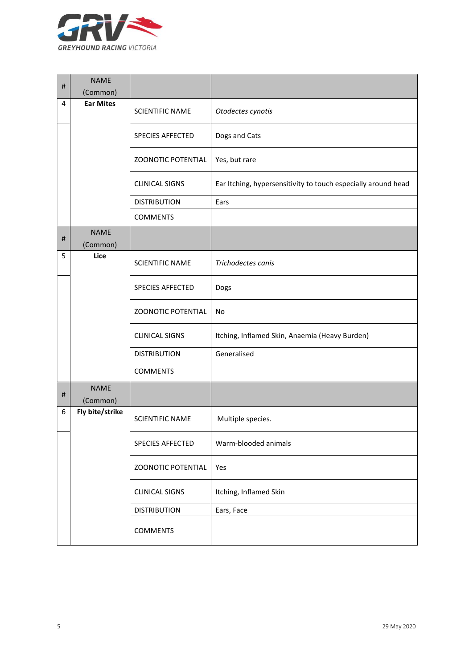

| $\#$     | <b>NAME</b><br>(Common) |                           |                                                               |
|----------|-------------------------|---------------------------|---------------------------------------------------------------|
| 4        | <b>Ear Mites</b>        | <b>SCIENTIFIC NAME</b>    | Otodectes cynotis                                             |
|          |                         | <b>SPECIES AFFECTED</b>   | Dogs and Cats                                                 |
|          |                         | <b>ZOONOTIC POTENTIAL</b> | Yes, but rare                                                 |
|          |                         | <b>CLINICAL SIGNS</b>     | Ear Itching, hypersensitivity to touch especially around head |
|          |                         | <b>DISTRIBUTION</b>       | Ears                                                          |
|          |                         | <b>COMMENTS</b>           |                                                               |
| $\sharp$ | <b>NAME</b><br>(Common) |                           |                                                               |
| 5        | Lice                    | <b>SCIENTIFIC NAME</b>    | Trichodectes canis                                            |
|          |                         | <b>SPECIES AFFECTED</b>   | Dogs                                                          |
|          |                         | <b>ZOONOTIC POTENTIAL</b> | No                                                            |
|          |                         | <b>CLINICAL SIGNS</b>     | Itching, Inflamed Skin, Anaemia (Heavy Burden)                |
|          |                         | <b>DISTRIBUTION</b>       | Generalised                                                   |
|          |                         | <b>COMMENTS</b>           |                                                               |
| #        | <b>NAME</b><br>(Common) |                           |                                                               |
| 6        | Fly bite/strike         | <b>SCIENTIFIC NAME</b>    | Multiple species.                                             |
|          |                         | SPECIES AFFECTED          | Warm-blooded animals                                          |
|          |                         | <b>ZOONOTIC POTENTIAL</b> | Yes                                                           |
|          |                         | <b>CLINICAL SIGNS</b>     | Itching, Inflamed Skin                                        |
|          |                         | <b>DISTRIBUTION</b>       | Ears, Face                                                    |
|          |                         | <b>COMMENTS</b>           |                                                               |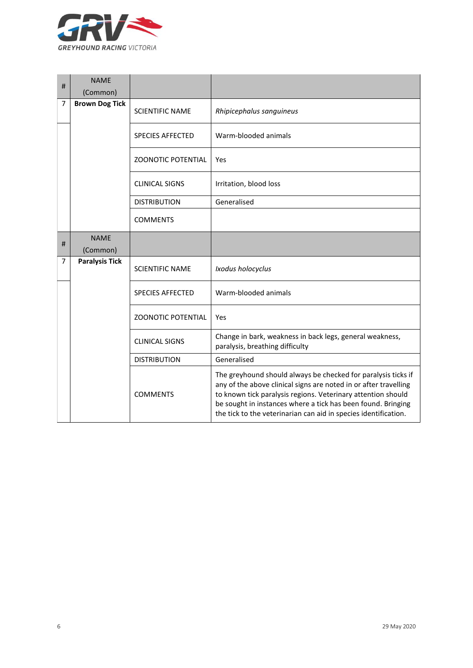

| #              | <b>NAME</b><br>(Common) |                           |                                                                                                                                                                                                                                                                                                                                      |
|----------------|-------------------------|---------------------------|--------------------------------------------------------------------------------------------------------------------------------------------------------------------------------------------------------------------------------------------------------------------------------------------------------------------------------------|
| $\overline{7}$ | <b>Brown Dog Tick</b>   | <b>SCIENTIFIC NAME</b>    | Rhipicephalus sanguineus                                                                                                                                                                                                                                                                                                             |
|                |                         | <b>SPECIES AFFECTED</b>   | Warm-blooded animals                                                                                                                                                                                                                                                                                                                 |
|                |                         | <b>ZOONOTIC POTENTIAL</b> | Yes                                                                                                                                                                                                                                                                                                                                  |
|                |                         | <b>CLINICAL SIGNS</b>     | Irritation, blood loss                                                                                                                                                                                                                                                                                                               |
|                |                         | <b>DISTRIBUTION</b>       | Generalised                                                                                                                                                                                                                                                                                                                          |
|                |                         | <b>COMMENTS</b>           |                                                                                                                                                                                                                                                                                                                                      |
| #              | <b>NAME</b>             |                           |                                                                                                                                                                                                                                                                                                                                      |
|                | (Common)                |                           |                                                                                                                                                                                                                                                                                                                                      |
| 7              | <b>Paralysis Tick</b>   | <b>SCIENTIFIC NAME</b>    | Ixodus holocyclus                                                                                                                                                                                                                                                                                                                    |
|                |                         | <b>SPECIES AFFECTED</b>   | Warm-blooded animals                                                                                                                                                                                                                                                                                                                 |
|                |                         | <b>ZOONOTIC POTENTIAL</b> | Yes                                                                                                                                                                                                                                                                                                                                  |
|                |                         | <b>CLINICAL SIGNS</b>     | Change in bark, weakness in back legs, general weakness,<br>paralysis, breathing difficulty                                                                                                                                                                                                                                          |
|                |                         | <b>DISTRIBUTION</b>       | Generalised                                                                                                                                                                                                                                                                                                                          |
|                |                         | <b>COMMENTS</b>           | The greyhound should always be checked for paralysis ticks if<br>any of the above clinical signs are noted in or after travelling<br>to known tick paralysis regions. Veterinary attention should<br>be sought in instances where a tick has been found. Bringing<br>the tick to the veterinarian can aid in species identification. |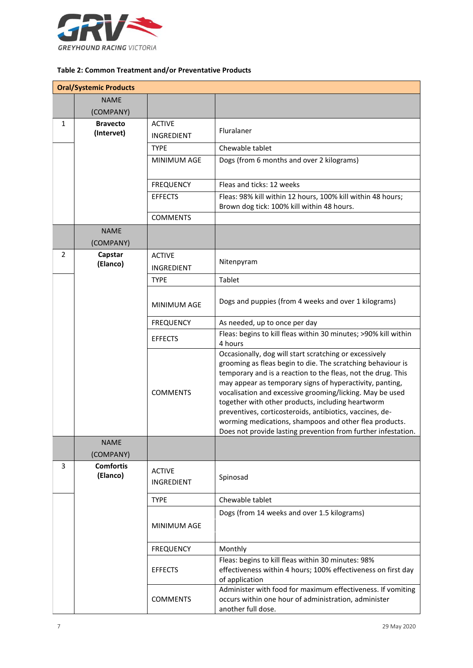

# **Table 2: Common Treatment and/or Preventative Products**

|   | <b>Oral/Systemic Products</b> |                                    |                                                                                                                                                                                                                                                                                                                                                                                                                                                                                                                                                           |
|---|-------------------------------|------------------------------------|-----------------------------------------------------------------------------------------------------------------------------------------------------------------------------------------------------------------------------------------------------------------------------------------------------------------------------------------------------------------------------------------------------------------------------------------------------------------------------------------------------------------------------------------------------------|
|   | <b>NAME</b>                   |                                    |                                                                                                                                                                                                                                                                                                                                                                                                                                                                                                                                                           |
|   | (COMPANY)                     |                                    |                                                                                                                                                                                                                                                                                                                                                                                                                                                                                                                                                           |
| 1 | <b>Bravecto</b>               | <b>ACTIVE</b>                      |                                                                                                                                                                                                                                                                                                                                                                                                                                                                                                                                                           |
|   | (Intervet)                    | <b>INGREDIENT</b>                  | Fluralaner                                                                                                                                                                                                                                                                                                                                                                                                                                                                                                                                                |
|   |                               | <b>TYPE</b>                        | Chewable tablet                                                                                                                                                                                                                                                                                                                                                                                                                                                                                                                                           |
|   |                               | MINIMUM AGE                        | Dogs (from 6 months and over 2 kilograms)                                                                                                                                                                                                                                                                                                                                                                                                                                                                                                                 |
|   |                               |                                    |                                                                                                                                                                                                                                                                                                                                                                                                                                                                                                                                                           |
|   |                               | <b>FREQUENCY</b>                   | Fleas and ticks: 12 weeks                                                                                                                                                                                                                                                                                                                                                                                                                                                                                                                                 |
|   |                               | <b>EFFECTS</b>                     | Fleas: 98% kill within 12 hours, 100% kill within 48 hours;                                                                                                                                                                                                                                                                                                                                                                                                                                                                                               |
|   |                               | <b>COMMENTS</b>                    | Brown dog tick: 100% kill within 48 hours.                                                                                                                                                                                                                                                                                                                                                                                                                                                                                                                |
|   | <b>NAME</b>                   |                                    |                                                                                                                                                                                                                                                                                                                                                                                                                                                                                                                                                           |
|   | (COMPANY)                     |                                    |                                                                                                                                                                                                                                                                                                                                                                                                                                                                                                                                                           |
| 2 | Capstar                       | <b>ACTIVE</b>                      |                                                                                                                                                                                                                                                                                                                                                                                                                                                                                                                                                           |
|   | (Elanco)                      | <b>INGREDIENT</b>                  | Nitenpyram                                                                                                                                                                                                                                                                                                                                                                                                                                                                                                                                                |
|   |                               | <b>TYPE</b>                        | Tablet                                                                                                                                                                                                                                                                                                                                                                                                                                                                                                                                                    |
|   |                               |                                    |                                                                                                                                                                                                                                                                                                                                                                                                                                                                                                                                                           |
|   |                               | MINIMUM AGE                        | Dogs and puppies (from 4 weeks and over 1 kilograms)                                                                                                                                                                                                                                                                                                                                                                                                                                                                                                      |
|   |                               | <b>FREQUENCY</b>                   | As needed, up to once per day                                                                                                                                                                                                                                                                                                                                                                                                                                                                                                                             |
|   |                               | <b>EFFECTS</b>                     | Fleas: begins to kill fleas within 30 minutes; >90% kill within<br>4 hours                                                                                                                                                                                                                                                                                                                                                                                                                                                                                |
|   |                               | <b>COMMENTS</b>                    | Occasionally, dog will start scratching or excessively<br>grooming as fleas begin to die. The scratching behaviour is<br>temporary and is a reaction to the fleas, not the drug. This<br>may appear as temporary signs of hyperactivity, panting,<br>vocalisation and excessive grooming/licking. May be used<br>together with other products, including heartworm<br>preventives, corticosteroids, antibiotics, vaccines, de-<br>worming medications, shampoos and other flea products.<br>Does not provide lasting prevention from further infestation. |
|   | <b>NAME</b><br>(COMPANY)      |                                    |                                                                                                                                                                                                                                                                                                                                                                                                                                                                                                                                                           |
| 3 | <b>Comfortis</b><br>(Elanco)  | <b>ACTIVE</b><br><b>INGREDIENT</b> | Spinosad                                                                                                                                                                                                                                                                                                                                                                                                                                                                                                                                                  |
|   |                               | <b>TYPE</b>                        | Chewable tablet                                                                                                                                                                                                                                                                                                                                                                                                                                                                                                                                           |
|   |                               |                                    | Dogs (from 14 weeks and over 1.5 kilograms)                                                                                                                                                                                                                                                                                                                                                                                                                                                                                                               |
|   |                               | MINIMUM AGE                        |                                                                                                                                                                                                                                                                                                                                                                                                                                                                                                                                                           |
|   |                               | <b>FREQUENCY</b>                   | Monthly                                                                                                                                                                                                                                                                                                                                                                                                                                                                                                                                                   |
|   |                               | <b>EFFECTS</b>                     | Fleas: begins to kill fleas within 30 minutes: 98%<br>effectiveness within 4 hours; 100% effectiveness on first day<br>of application                                                                                                                                                                                                                                                                                                                                                                                                                     |
|   |                               | <b>COMMENTS</b>                    | Administer with food for maximum effectiveness. If vomiting<br>occurs within one hour of administration, administer<br>another full dose.                                                                                                                                                                                                                                                                                                                                                                                                                 |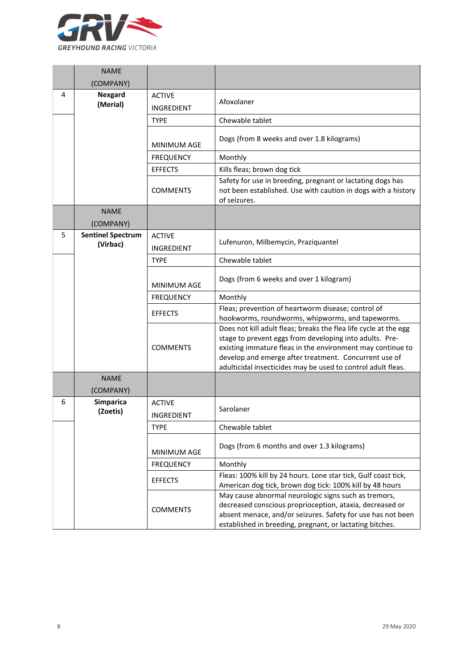

|   | <b>NAME</b>                          |                                    |                                                                                                                                                                                                                                                                                                                    |
|---|--------------------------------------|------------------------------------|--------------------------------------------------------------------------------------------------------------------------------------------------------------------------------------------------------------------------------------------------------------------------------------------------------------------|
|   | (COMPANY)                            |                                    |                                                                                                                                                                                                                                                                                                                    |
| 4 | <b>Nexgard</b><br>(Merial)           | <b>ACTIVE</b><br><b>INGREDIENT</b> | Afoxolaner                                                                                                                                                                                                                                                                                                         |
|   |                                      | <b>TYPE</b>                        | Chewable tablet                                                                                                                                                                                                                                                                                                    |
|   |                                      | <b>MINIMUM AGE</b>                 | Dogs (from 8 weeks and over 1.8 kilograms)                                                                                                                                                                                                                                                                         |
|   |                                      | <b>FREQUENCY</b>                   | Monthly                                                                                                                                                                                                                                                                                                            |
|   |                                      | <b>EFFECTS</b>                     | Kills fleas; brown dog tick                                                                                                                                                                                                                                                                                        |
|   |                                      | <b>COMMENTS</b>                    | Safety for use in breeding, pregnant or lactating dogs has<br>not been established. Use with caution in dogs with a history<br>of seizures.                                                                                                                                                                        |
|   | <b>NAME</b>                          |                                    |                                                                                                                                                                                                                                                                                                                    |
|   | (COMPANY)                            |                                    |                                                                                                                                                                                                                                                                                                                    |
| 5 | <b>Sentinel Spectrum</b><br>(Virbac) | <b>ACTIVE</b>                      | Lufenuron, Milbemycin, Praziquantel                                                                                                                                                                                                                                                                                |
|   |                                      | INGREDIENT                         |                                                                                                                                                                                                                                                                                                                    |
|   |                                      | <b>TYPE</b>                        | Chewable tablet                                                                                                                                                                                                                                                                                                    |
|   |                                      | <b>MINIMUM AGE</b>                 | Dogs (from 6 weeks and over 1 kilogram)                                                                                                                                                                                                                                                                            |
|   |                                      | <b>FREQUENCY</b>                   | Monthly                                                                                                                                                                                                                                                                                                            |
|   |                                      | <b>EFFECTS</b>                     | Fleas; prevention of heartworm disease; control of<br>hookworms, roundworms, whipworms, and tapeworms.                                                                                                                                                                                                             |
|   |                                      | <b>COMMENTS</b>                    | Does not kill adult fleas; breaks the flea life cycle at the egg<br>stage to prevent eggs from developing into adults. Pre-<br>existing immature fleas in the environment may continue to<br>develop and emerge after treatment. Concurrent use of<br>adulticidal insecticides may be used to control adult fleas. |
|   | <b>NAME</b>                          |                                    |                                                                                                                                                                                                                                                                                                                    |
|   | (COMPANY)                            |                                    |                                                                                                                                                                                                                                                                                                                    |
| 6 | <b>Simparica</b><br>(Zoetis)         | <b>ACTIVE</b><br>INGREDIENT        | Sarolaner                                                                                                                                                                                                                                                                                                          |
|   |                                      | <b>TYPE</b>                        | Chewable tablet                                                                                                                                                                                                                                                                                                    |
|   |                                      | MINIMUM AGE                        | Dogs (from 6 months and over 1.3 kilograms)                                                                                                                                                                                                                                                                        |
|   |                                      | <b>FREQUENCY</b>                   | Monthly                                                                                                                                                                                                                                                                                                            |
|   |                                      | <b>EFFECTS</b>                     | Fleas: 100% kill by 24 hours. Lone star tick, Gulf coast tick,<br>American dog tick, brown dog tick: 100% kill by 48 hours                                                                                                                                                                                         |
|   |                                      | <b>COMMENTS</b>                    | May cause abnormal neurologic signs such as tremors,<br>decreased conscious proprioception, ataxia, decreased or<br>absent menace, and/or seizures. Safety for use has not been<br>established in breeding, pregnant, or lactating bitches.                                                                        |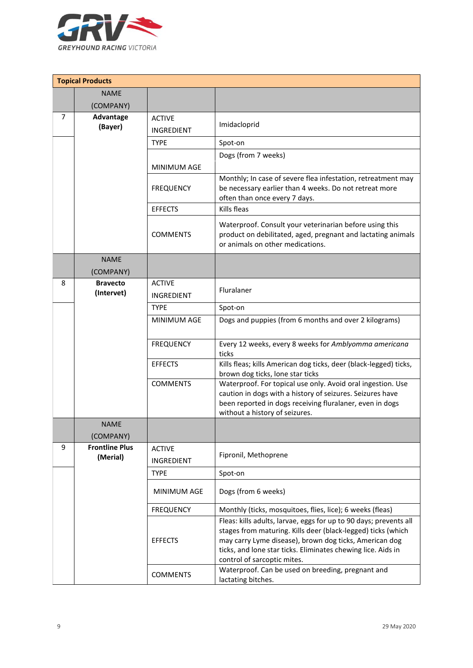

|   | <b>Topical Products</b>           |                                    |                                                                                                                                                                                                                                                                                            |
|---|-----------------------------------|------------------------------------|--------------------------------------------------------------------------------------------------------------------------------------------------------------------------------------------------------------------------------------------------------------------------------------------|
|   | <b>NAME</b>                       |                                    |                                                                                                                                                                                                                                                                                            |
|   | (COMPANY)                         |                                    |                                                                                                                                                                                                                                                                                            |
| 7 | Advantage<br>(Bayer)              | <b>ACTIVE</b>                      | Imidacloprid                                                                                                                                                                                                                                                                               |
|   |                                   | INGREDIENT                         |                                                                                                                                                                                                                                                                                            |
|   |                                   | <b>TYPE</b>                        | Spot-on                                                                                                                                                                                                                                                                                    |
|   |                                   | MINIMUM AGE                        | Dogs (from 7 weeks)                                                                                                                                                                                                                                                                        |
|   |                                   | <b>FREQUENCY</b>                   | Monthly; In case of severe flea infestation, retreatment may<br>be necessary earlier than 4 weeks. Do not retreat more<br>often than once every 7 days.                                                                                                                                    |
|   |                                   | <b>EFFECTS</b>                     | Kills fleas                                                                                                                                                                                                                                                                                |
|   |                                   | <b>COMMENTS</b>                    | Waterproof. Consult your veterinarian before using this<br>product on debilitated, aged, pregnant and lactating animals<br>or animals on other medications.                                                                                                                                |
|   | <b>NAME</b>                       |                                    |                                                                                                                                                                                                                                                                                            |
|   | (COMPANY)                         |                                    |                                                                                                                                                                                                                                                                                            |
| 8 | <b>Bravecto</b><br>(Intervet)     | <b>ACTIVE</b>                      | Fluralaner                                                                                                                                                                                                                                                                                 |
|   |                                   | <b>INGREDIENT</b>                  |                                                                                                                                                                                                                                                                                            |
|   |                                   | <b>TYPE</b>                        | Spot-on                                                                                                                                                                                                                                                                                    |
|   |                                   | MINIMUM AGE                        | Dogs and puppies (from 6 months and over 2 kilograms)                                                                                                                                                                                                                                      |
|   |                                   | <b>FREQUENCY</b>                   | Every 12 weeks, every 8 weeks for Amblyomma americana<br>ticks                                                                                                                                                                                                                             |
|   |                                   | <b>EFFECTS</b>                     | Kills fleas; kills American dog ticks, deer (black-legged) ticks,<br>brown dog ticks, lone star ticks                                                                                                                                                                                      |
|   |                                   | <b>COMMENTS</b>                    | Waterproof. For topical use only. Avoid oral ingestion. Use<br>caution in dogs with a history of seizures. Seizures have<br>been reported in dogs receiving fluralaner, even in dogs<br>without a history of seizures.                                                                     |
|   | <b>NAME</b><br>(COMPANY)          |                                    |                                                                                                                                                                                                                                                                                            |
| 9 | <b>Frontline Plus</b><br>(Merial) | <b>ACTIVE</b><br><b>INGREDIENT</b> | Fipronil, Methoprene                                                                                                                                                                                                                                                                       |
|   |                                   | <b>TYPE</b>                        | Spot-on                                                                                                                                                                                                                                                                                    |
|   |                                   | <b>MINIMUM AGE</b>                 | Dogs (from 6 weeks)                                                                                                                                                                                                                                                                        |
|   |                                   | <b>FREQUENCY</b>                   | Monthly (ticks, mosquitoes, flies, lice); 6 weeks (fleas)                                                                                                                                                                                                                                  |
|   |                                   | <b>EFFECTS</b>                     | Fleas: kills adults, larvae, eggs for up to 90 days; prevents all<br>stages from maturing. Kills deer (black-legged) ticks (which<br>may carry Lyme disease), brown dog ticks, American dog<br>ticks, and lone star ticks. Eliminates chewing lice. Aids in<br>control of sarcoptic mites. |
|   |                                   | <b>COMMENTS</b>                    | Waterproof. Can be used on breeding, pregnant and<br>lactating bitches.                                                                                                                                                                                                                    |